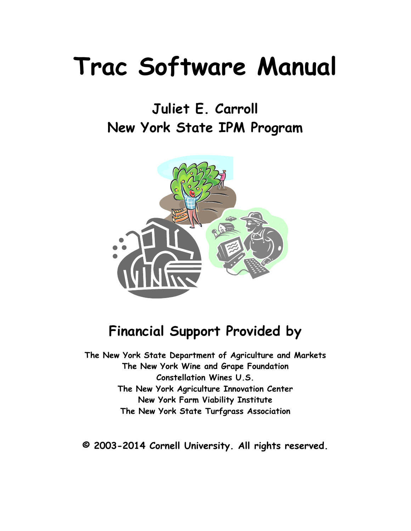# **Trac Software Manual**

# **Juliet E. Carroll New York State IPM Program**



## **Financial Support Provided by**

**The New York State Department of Agriculture and Markets The New York Wine and Grape Foundation Constellation Wines U.S. The New York Agriculture Innovation Center New York Farm Viability Institute The New York State Turfgrass Association**

**© 2003-2014 Cornell University. All rights reserved.**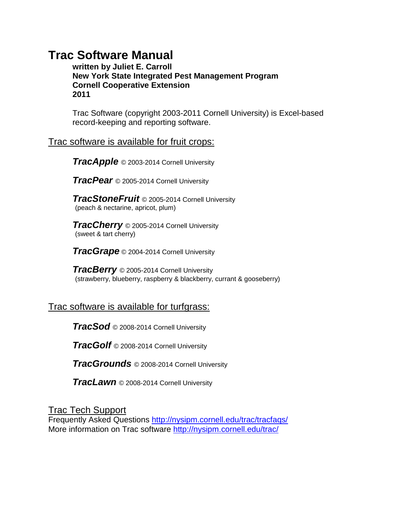### **Trac Software Manual**

**written by Juliet E. Carroll New York State Integrated Pest Management Program Cornell Cooperative Extension 2011**

Trac Software (copyright 2003-2011 Cornell University) is Excel-based record-keeping and reporting software.

### Trac software is available for fruit crops:

*TracApple* © 2003-2014 Cornell University

*TracPear* © 2005-2014 Cornell University

*TracStoneFruit* © 2005-2014 Cornell University (peach & nectarine, apricot, plum)

*TracCherry* © 2005-2014 Cornell University (sweet & tart cherry)

*TracGrape* © 2004-2014 Cornell University

*TracBerry* © 2005-2014 Cornell University (strawberry, blueberry, raspberry & blackberry, currant & gooseberry)

### Trac software is available for turfgrass:

*TracSod* © 2008-2014 Cornell University

*TracGolf* © 2008-2014 Cornell University

*TracGrounds* © 2008-2014 Cornell University

*TracLawn* © 2008-2014 Cornell University

Trac Tech Support

Frequently Asked Questions<http://nysipm.cornell.edu/trac/tracfaqs/> More information on Trac software<http://nysipm.cornell.edu/trac/>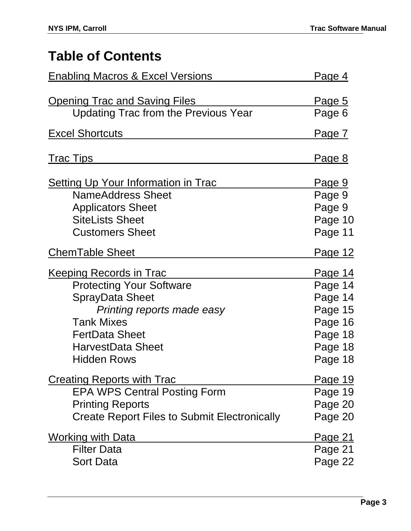# **Table of Contents**

| <b>Enabling Macros &amp; Excel Versions</b>                                                                                                                                                                               | <u>Page 4</u>                                                                               |  |
|---------------------------------------------------------------------------------------------------------------------------------------------------------------------------------------------------------------------------|---------------------------------------------------------------------------------------------|--|
| <u>Opening Trac and Saving Files</u>                                                                                                                                                                                      | <u>Page 5</u>                                                                               |  |
| <b>Updating Trac from the Previous Year</b>                                                                                                                                                                               | Page 6                                                                                      |  |
| <b>Excel Shortcuts</b>                                                                                                                                                                                                    | <u>Page 7</u>                                                                               |  |
| <u>Trac Tips</u>                                                                                                                                                                                                          | <u>Page 8</u>                                                                               |  |
| <b>Setting Up Your Information in Trac</b><br><b>NameAddress Sheet</b><br><b>Applicators Sheet</b><br><b>SiteLists Sheet</b><br><b>Customers Sheet</b>                                                                    | Page 9<br>Page 9<br>Page 9<br>Page 10<br>Page 11                                            |  |
| <b>ChemTable Sheet</b>                                                                                                                                                                                                    | <u>Page 12</u>                                                                              |  |
| <u>Keeping Records in Trac</u><br><b>Protecting Your Software</b><br><b>SprayData Sheet</b><br>Printing reports made easy<br><b>Tank Mixes</b><br><b>FertData Sheet</b><br><b>HarvestData Sheet</b><br><b>Hidden Rows</b> | <u>Page 14</u><br>Page 14<br>Page 14<br>Page 15<br>Page 16<br>Page 18<br>Page 18<br>Page 18 |  |
| <b>Creating Reports with Trac</b><br><b>EPA WPS Central Posting Form</b><br><b>Printing Reports</b><br><b>Create Report Files to Submit Electronically</b>                                                                | <u>Page 19</u><br>Page 19<br>Page 20<br>Page 20                                             |  |
| <b>Working with Data</b><br><b>Filter Data</b><br><b>Sort Data</b>                                                                                                                                                        | <u>Page 21</u><br>Page 21<br>Page 22                                                        |  |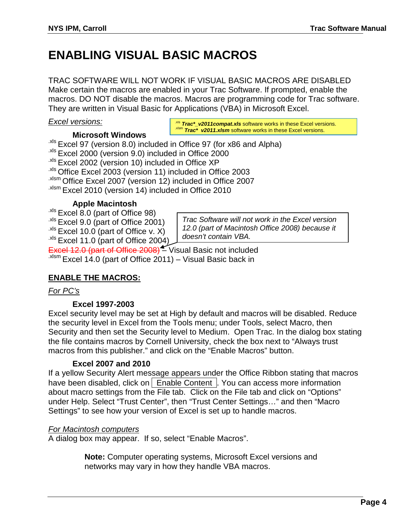### **ENABLING VISUAL BASIC MACROS**

TRAC SOFTWARE WILL NOT WORK IF VISUAL BASIC MACROS ARE DISABLED Make certain the macros are enabled in your Trac Software. If prompted, enable the macros. DO NOT disable the macros. Macros are programming code for Trac software. They are written in Visual Basic for Applications (VBA) in Microsoft Excel.

### *Excel versions:*

### **Microsoft Windows**

<sup>.xls</sup> **Trac\*\_v2011compat.xls** software works in these Excel versions.<br><sup>xlsm</sup> **Trac\* v2011.xlsm** software works in these Excel versions.

.xls Excel 97 (version 8.0) included in Office 97 (for x86 and Alpha) .xls Excel 2000 (version 9.0) included in Office 2000 .xls Excel 2002 (version 10) included in Office XP .xls Office Excel 2003 (version 11) included in Office 2003 .xlsm Office Excel 2007 (version 12) included in Office 2007 .xlsm Excel 2010 (version 14) included in Office 2010

### **Apple Macintosh**

.xls Excel 8.0 (part of Office 98)  $x$ <sup>ls</sup> Excel 9.0 (part of Office 2001)  $x$ <sup>xls</sup> Excel 10.0 (part of Office v. X)  $x$ <sup>ts</sup> Excel 11.0 (part of Office 2004)

*Trac Software will not work in the Excel version 12.0 (part of Macintosh Office 2008) because it doesn't contain VBA.*

Excel 12.0 (part of Office 2008) – Visual Basic not included  $x$ <sup>xlsm</sup> Excel 14.0 (part of Office 2011) – Visual Basic back in

### **ENABLE THE MACROS:**

### *For PC's*

### **Excel 1997-2003**

Excel security level may be set at High by default and macros will be disabled. Reduce the security level in Excel from the Tools menu; under Tools, select Macro, then Security and then set the Security level to Medium. Open Trac. In the dialog box stating the file contains macros by Cornell University, check the box next to "Always trust macros from this publisher." and click on the "Enable Macros" button.

### **Excel 2007 and 2010**

If a yellow Security Alert message appears under the Office Ribbon stating that macros have been disabled, click on  $\vert$  Enable Content  $\vert$ . You can access more information about macro settings from the File tab. Click on the File tab and click on "Options" under Help. Select "Trust Center", then "Trust Center Settings…" and then "Macro Settings" to see how your version of Excel is set up to handle macros.

### *For Macintosh computers*

A dialog box may appear. If so, select "Enable Macros".

**Note:** Computer operating systems, Microsoft Excel versions and networks may vary in how they handle VBA macros.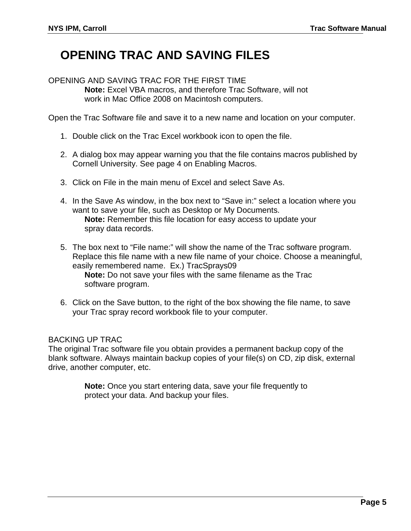### **OPENING TRAC AND SAVING FILES**

OPENING AND SAVING TRAC FOR THE FIRST TIME **Note:** Excel VBA macros, and therefore Trac Software, will not work in Mac Office 2008 on Macintosh computers.

Open the Trac Software file and save it to a new name and location on your computer.

- 1. Double click on the Trac Excel workbook icon to open the file.
- 2. A dialog box may appear warning you that the file contains macros published by Cornell University. See page 4 on Enabling Macros.
- 3. Click on File in the main menu of Excel and select Save As.
- 4. In the Save As window, in the box next to "Save in:" select a location where you want to save your file, such as Desktop or My Documents. **Note:** Remember this file location for easy access to update your spray data records.
- 5. The box next to "File name:" will show the name of the Trac software program. Replace this file name with a new file name of your choice. Choose a meaningful, easily remembered name. Ex.) TracSprays09 **Note:** Do not save your files with the same filename as the Trac software program.
- 6. Click on the Save button, to the right of the box showing the file name, to save your Trac spray record workbook file to your computer.

### BACKING UP TRAC

The original Trac software file you obtain provides a permanent backup copy of the blank software. Always maintain backup copies of your file(s) on CD, zip disk, external drive, another computer, etc.

> **Note:** Once you start entering data, save your file frequently to protect your data. And backup your files.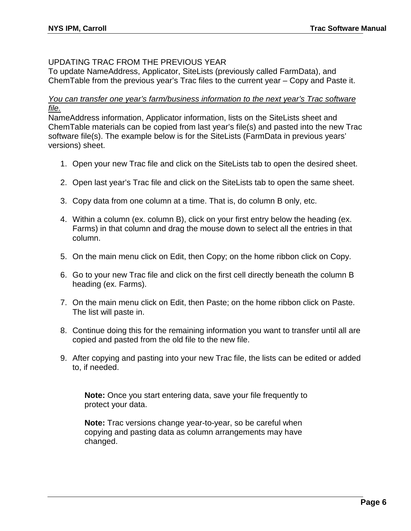### UPDATING TRAC FROM THE PREVIOUS YEAR

To update NameAddress, Applicator, SiteLists (previously called FarmData), and ChemTable from the previous year's Trac files to the current year – Copy and Paste it.

### *You can transfer one year's farm/business information to the next year's Trac software file.*

NameAddress information, Applicator information, lists on the SiteLists sheet and ChemTable materials can be copied from last year's file(s) and pasted into the new Trac software file(s). The example below is for the SiteLists (FarmData in previous years' versions) sheet.

- 1. Open your new Trac file and click on the SiteLists tab to open the desired sheet.
- 2. Open last year's Trac file and click on the SiteLists tab to open the same sheet.
- 3. Copy data from one column at a time. That is, do column B only, etc.
- 4. Within a column (ex. column B), click on your first entry below the heading (ex. Farms) in that column and drag the mouse down to select all the entries in that column.
- 5. On the main menu click on Edit, then Copy; on the home ribbon click on Copy.
- 6. Go to your new Trac file and click on the first cell directly beneath the column B heading (ex. Farms).
- 7. On the main menu click on Edit, then Paste; on the home ribbon click on Paste. The list will paste in.
- 8. Continue doing this for the remaining information you want to transfer until all are copied and pasted from the old file to the new file.
- 9. After copying and pasting into your new Trac file, the lists can be edited or added to, if needed.

**Note:** Once you start entering data, save your file frequently to protect your data.

**Note:** Trac versions change year-to-year, so be careful when copying and pasting data as column arrangements may have changed.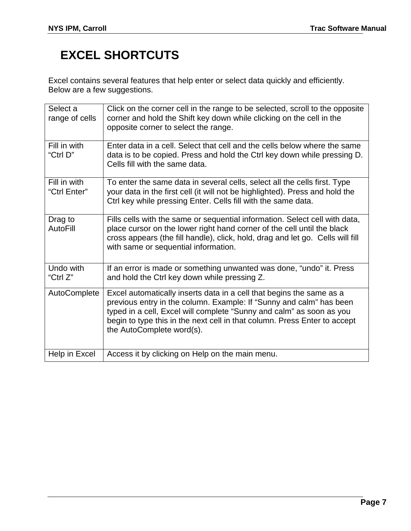# **EXCEL SHORTCUTS**

Excel contains several features that help enter or select data quickly and efficiently. Below are a few suggestions.

| Select a<br>range of cells   | Click on the corner cell in the range to be selected, scroll to the opposite<br>corner and hold the Shift key down while clicking on the cell in the<br>opposite corner to select the range.                                                                                                                                  |
|------------------------------|-------------------------------------------------------------------------------------------------------------------------------------------------------------------------------------------------------------------------------------------------------------------------------------------------------------------------------|
| Fill in with<br>"Ctrl D"     | Enter data in a cell. Select that cell and the cells below where the same<br>data is to be copied. Press and hold the Ctrl key down while pressing D.<br>Cells fill with the same data.                                                                                                                                       |
| Fill in with<br>"Ctrl Enter" | To enter the same data in several cells, select all the cells first. Type<br>your data in the first cell (it will not be highlighted). Press and hold the<br>Ctrl key while pressing Enter. Cells fill with the same data.                                                                                                    |
| Drag to<br>AutoFill          | Fills cells with the same or sequential information. Select cell with data,<br>place cursor on the lower right hand corner of the cell until the black<br>cross appears (the fill handle), click, hold, drag and let go. Cells will fill<br>with same or sequential information.                                              |
| Undo with<br>"Ctrl Z"        | If an error is made or something unwanted was done, "undo" it. Press<br>and hold the Ctrl key down while pressing Z.                                                                                                                                                                                                          |
| AutoComplete                 | Excel automatically inserts data in a cell that begins the same as a<br>previous entry in the column. Example: If "Sunny and calm" has been<br>typed in a cell, Excel will complete "Sunny and calm" as soon as you<br>begin to type this in the next cell in that column. Press Enter to accept<br>the AutoComplete word(s). |
| Help in Excel                | Access it by clicking on Help on the main menu.                                                                                                                                                                                                                                                                               |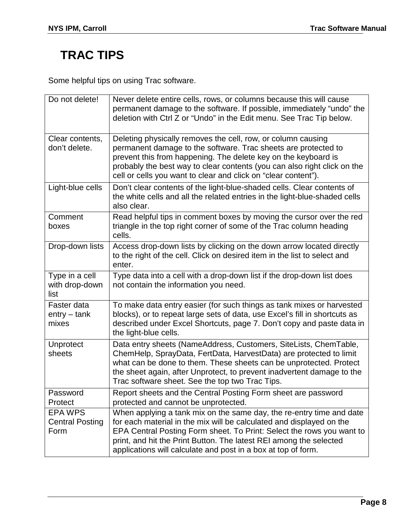# **TRAC TIPS**

Some helpful tips on using Trac software.

| Do not delete!                                   | Never delete entire cells, rows, or columns because this will cause<br>permanent damage to the software. If possible, immediately "undo" the<br>deletion with Ctrl Z or "Undo" in the Edit menu. See Trac Tip below.                                                                                                                                         |
|--------------------------------------------------|--------------------------------------------------------------------------------------------------------------------------------------------------------------------------------------------------------------------------------------------------------------------------------------------------------------------------------------------------------------|
| Clear contents,<br>don't delete.                 | Deleting physically removes the cell, row, or column causing<br>permanent damage to the software. Trac sheets are protected to<br>prevent this from happening. The delete key on the keyboard is<br>probably the best way to clear contents (you can also right click on the<br>cell or cells you want to clear and click on "clear content").               |
| Light-blue cells                                 | Don't clear contents of the light-blue-shaded cells. Clear contents of<br>the white cells and all the related entries in the light-blue-shaded cells<br>also clear.                                                                                                                                                                                          |
| Comment<br>boxes                                 | Read helpful tips in comment boxes by moving the cursor over the red<br>triangle in the top right corner of some of the Trac column heading<br>cells.                                                                                                                                                                                                        |
| Drop-down lists                                  | Access drop-down lists by clicking on the down arrow located directly<br>to the right of the cell. Click on desired item in the list to select and<br>enter.                                                                                                                                                                                                 |
| Type in a cell<br>with drop-down<br>list         | Type data into a cell with a drop-down list if the drop-down list does<br>not contain the information you need.                                                                                                                                                                                                                                              |
| Faster data<br>$entry - tank$<br>mixes           | To make data entry easier (for such things as tank mixes or harvested<br>blocks), or to repeat large sets of data, use Excel's fill in shortcuts as<br>described under Excel Shortcuts, page 7. Don't copy and paste data in<br>the light-blue cells.                                                                                                        |
| Unprotect<br>sheets                              | Data entry sheets (NameAddress, Customers, SiteLists, ChemTable,<br>ChemHelp, SprayData, FertData, HarvestData) are protected to limit<br>what can be done to them. These sheets can be unprotected. Protect<br>the sheet again, after Unprotect, to prevent inadvertent damage to the<br>Trac software sheet. See the top two Trac Tips.                    |
| Password<br>Protect                              | Report sheets and the Central Posting Form sheet are password<br>protected and cannot be unprotected.                                                                                                                                                                                                                                                        |
| <b>EPA WPS</b><br><b>Central Posting</b><br>Form | When applying a tank mix on the same day, the re-entry time and date<br>for each material in the mix will be calculated and displayed on the<br>EPA Central Posting Form sheet. To Print: Select the rows you want to<br>print, and hit the Print Button. The latest REI among the selected<br>applications will calculate and post in a box at top of form. |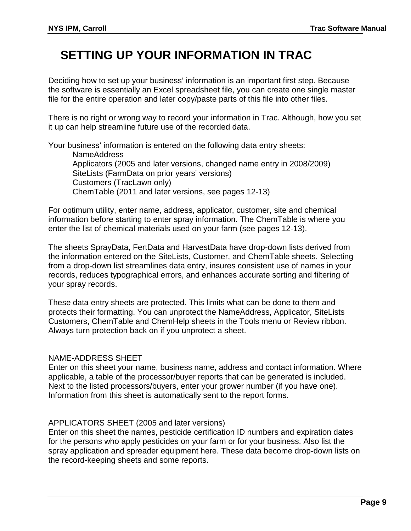## **SETTING UP YOUR INFORMATION IN TRAC**

Deciding how to set up your business' information is an important first step. Because the software is essentially an Excel spreadsheet file, you can create one single master file for the entire operation and later copy/paste parts of this file into other files.

There is no right or wrong way to record your information in Trac. Although, how you set it up can help streamline future use of the recorded data.

Your business' information is entered on the following data entry sheets: NameAddress Applicators (2005 and later versions, changed name entry in 2008/2009) SiteLists (FarmData on prior years' versions) Customers (TracLawn only) ChemTable (2011 and later versions, see pages 12-13)

For optimum utility, enter name, address, applicator, customer, site and chemical information before starting to enter spray information. The ChemTable is where you enter the list of chemical materials used on your farm (see pages 12-13).

The sheets SprayData, FertData and HarvestData have drop-down lists derived from the information entered on the SiteLists, Customer, and ChemTable sheets. Selecting from a drop-down list streamlines data entry, insures consistent use of names in your records, reduces typographical errors, and enhances accurate sorting and filtering of your spray records.

These data entry sheets are protected. This limits what can be done to them and protects their formatting. You can unprotect the NameAddress, Applicator, SiteLists Customers, ChemTable and ChemHelp sheets in the Tools menu or Review ribbon. Always turn protection back on if you unprotect a sheet.

### NAME-ADDRESS SHEET

Enter on this sheet your name, business name, address and contact information. Where applicable, a table of the processor/buyer reports that can be generated is included. Next to the listed processors/buyers, enter your grower number (if you have one). Information from this sheet is automatically sent to the report forms.

### APPLICATORS SHEET (2005 and later versions)

Enter on this sheet the names, pesticide certification ID numbers and expiration dates for the persons who apply pesticides on your farm or for your business. Also list the spray application and spreader equipment here. These data become drop-down lists on the record-keeping sheets and some reports.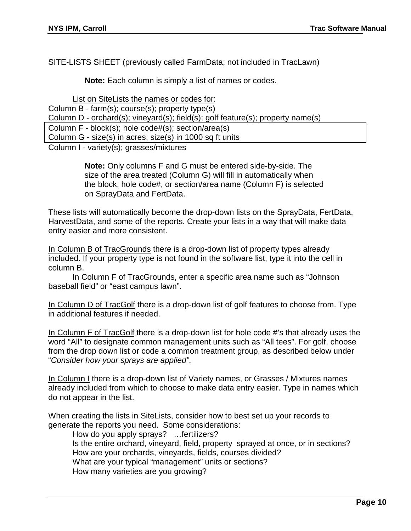SITE-LISTS SHEET (previously called FarmData; not included in TracLawn)

**Note:** Each column is simply a list of names or codes.

List on SiteLists the names or codes for: Column B - farm(s); course(s); property type(s) Column D - orchard(s); vineyard(s); field(s); golf feature(s); property name(s) Column F - block(s); hole code#(s); section/area(s) Column G - size(s) in acres; size(s) in 1000 sq ft units

Column I - variety(s); grasses/mixtures

**Note:** Only columns F and G must be entered side-by-side. The size of the area treated (Column G) will fill in automatically when the block, hole code#, or section/area name (Column F) is selected on SprayData and FertData.

These lists will automatically become the drop-down lists on the SprayData, FertData, HarvestData, and some of the reports. Create your lists in a way that will make data entry easier and more consistent.

In Column B of TracGrounds there is a drop-down list of property types already included. If your property type is not found in the software list, type it into the cell in column B.

In Column F of TracGrounds, enter a specific area name such as "Johnson baseball field" or "east campus lawn".

In Column D of TracGolf there is a drop-down list of golf features to choose from. Type in additional features if needed.

In Column F of TracGolf there is a drop-down list for hole code #'s that already uses the word "All" to designate common management units such as "All tees". For golf, choose from the drop down list or code a common treatment group, as described below under "*Consider how your sprays are applied"*.

In Column I there is a drop-down list of Variety names, or Grasses / Mixtures names already included from which to choose to make data entry easier. Type in names which do not appear in the list.

When creating the lists in SiteLists, consider how to best set up your records to generate the reports you need. Some considerations:

How do you apply sprays? …fertilizers? Is the entire orchard, vineyard, field, property sprayed at once, or in sections? How are your orchards, vineyards, fields, courses divided? What are your typical "management" units or sections? How many varieties are you growing?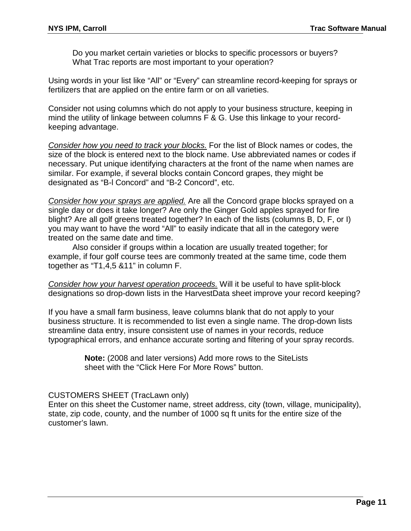Do you market certain varieties or blocks to specific processors or buyers? What Trac reports are most important to your operation?

Using words in your list like "All" or "Every" can streamline record-keeping for sprays or fertilizers that are applied on the entire farm or on all varieties.

Consider not using columns which do not apply to your business structure, keeping in mind the utility of linkage between columns F & G. Use this linkage to your recordkeeping advantage.

*Consider how you need to track your blocks.* For the list of Block names or codes, the size of the block is entered next to the block name. Use abbreviated names or codes if necessary. Put unique identifying characters at the front of the name when names are similar. For example, if several blocks contain Concord grapes, they might be designated as "B-l Concord" and "B-2 Concord", etc.

*Consider how your sprays are applied.* Are all the Concord grape blocks sprayed on a single day or does it take longer? Are only the Ginger Gold apples sprayed for fire blight? Are all golf greens treated together? In each of the lists (columns B, D, F, or I) you may want to have the word "All" to easily indicate that all in the category were treated on the same date and time.

Also consider if groups within a location are usually treated together; for example, if four golf course tees are commonly treated at the same time, code them together as "T1,4,5 &11" in column F.

*Consider how your harvest operation proceeds.* Will it be useful to have split-block designations so drop-down lists in the HarvestData sheet improve your record keeping?

If you have a small farm business, leave columns blank that do not apply to your business structure. It is recommended to list even a single name. The drop-down lists streamline data entry, insure consistent use of names in your records, reduce typographical errors, and enhance accurate sorting and filtering of your spray records.

> **Note:** (2008 and later versions) Add more rows to the SiteLists sheet with the "Click Here For More Rows" button.

#### CUSTOMERS SHEET (TracLawn only)

Enter on this sheet the Customer name, street address, city (town, village, municipality), state, zip code, county, and the number of 1000 sq ft units for the entire size of the customer's lawn.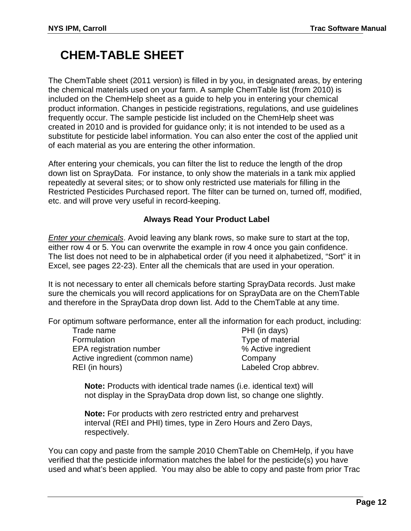### **CHEM-TABLE SHEET**

The ChemTable sheet (2011 version) is filled in by you, in designated areas, by entering the chemical materials used on your farm. A sample ChemTable list (from 2010) is included on the ChemHelp sheet as a guide to help you in entering your chemical product information. Changes in pesticide registrations, regulations, and use guidelines frequently occur. The sample pesticide list included on the ChemHelp sheet was created in 2010 and is provided for guidance only; it is not intended to be used as a substitute for pesticide label information. You can also enter the cost of the applied unit of each material as you are entering the other information.

After entering your chemicals, you can filter the list to reduce the length of the drop down list on SprayData. For instance, to only show the materials in a tank mix applied repeatedly at several sites; or to show only restricted use materials for filling in the Restricted Pesticides Purchased report. The filter can be turned on, turned off, modified, etc. and will prove very useful in record-keeping.

### **Always Read Your Product Label**

*Enter your chemicals*. Avoid leaving any blank rows, so make sure to start at the top, either row 4 or 5. You can overwrite the example in row 4 once you gain confidence. The list does not need to be in alphabetical order (if you need it alphabetized, "Sort" it in Excel, see pages 22-23). Enter all the chemicals that are used in your operation.

It is not necessary to enter all chemicals before starting SprayData records. Just make sure the chemicals you will record applications for on SprayData are on the ChemTable and therefore in the SprayData drop down list. Add to the ChemTable at any time.

For optimum software performance, enter all the information for each product, including:

| Trade name                      | PHI (in days)        |
|---------------------------------|----------------------|
| Formulation                     | Type of material     |
| <b>EPA</b> registration number  | % Active ingredient  |
| Active ingredient (common name) | Company              |
| REI (in hours)                  | Labeled Crop abbrev. |

**Note:** Products with identical trade names (i.e. identical text) will not display in the SprayData drop down list, so change one slightly.

**Note:** For products with zero restricted entry and preharvest interval (REI and PHI) times, type in Zero Hours and Zero Days, respectively.

You can copy and paste from the sample 2010 ChemTable on ChemHelp, if you have verified that the pesticide information matches the label for the pesticide(s) you have used and what's been applied. You may also be able to copy and paste from prior Trac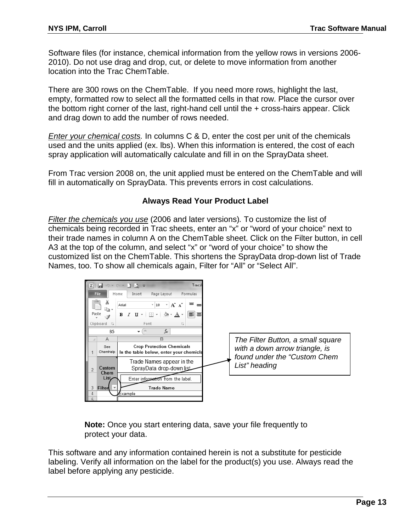Software files (for instance, chemical information from the yellow rows in versions 2006- 2010). Do not use drag and drop, cut, or delete to move information from another location into the Trac ChemTable.

There are 300 rows on the ChemTable. If you need more rows, highlight the last, empty, formatted row to select all the formatted cells in that row. Place the cursor over the bottom right corner of the last, right-hand cell until the + cross-hairs appear. Click and drag down to add the number of rows needed.

*Enter your chemical costs.* In columns C & D, enter the cost per unit of the chemicals used and the units applied (ex. lbs). When this information is entered, the cost of each spray application will automatically calculate and fill in on the SprayData sheet.

From Trac version 2008 on, the unit applied must be entered on the ChemTable and will fill in automatically on SprayData. This prevents errors in cost calculations.

#### **Always Read Your Product Label**

*Filter the chemicals you use* (2006 and later versions)*.* To customize the list of chemicals being recorded in Trac sheets, enter an "x" or "word of your choice" next to their trade names in column A on the ChemTable sheet. Click on the Filter button, in cell A3 at the top of the column, and select "x" or "word of your choice" to show the customized list on the ChemTable. This shortens the SprayData drop-down list of Trade Names, too. To show all chemicals again, Filter for "All" or "Select All".



**Note:** Once you start entering data, save your file frequently to protect your data.

This software and any information contained herein is not a substitute for pesticide labeling. Verify all information on the label for the product(s) you use. Always read the label before applying any pesticide.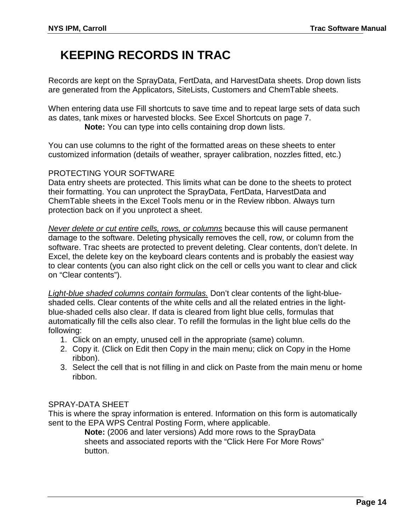### **KEEPING RECORDS IN TRAC**

Records are kept on the SprayData, FertData, and HarvestData sheets. Drop down lists are generated from the Applicators, SiteLists, Customers and ChemTable sheets.

When entering data use Fill shortcuts to save time and to repeat large sets of data such as dates, tank mixes or harvested blocks. See Excel Shortcuts on page 7. **Note:** You can type into cells containing drop down lists.

You can use columns to the right of the formatted areas on these sheets to enter customized information (details of weather, sprayer calibration, nozzles fitted, etc.)

### PROTECTING YOUR SOFTWARE

Data entry sheets are protected. This limits what can be done to the sheets to protect their formatting. You can unprotect the SprayData, FertData, HarvestData and ChemTable sheets in the Excel Tools menu or in the Review ribbon. Always turn protection back on if you unprotect a sheet.

*Never delete or cut entire cells, rows, or columns* because this will cause permanent damage to the software. Deleting physically removes the cell, row, or column from the software. Trac sheets are protected to prevent deleting. Clear contents, don't delete. In Excel, the delete key on the keyboard clears contents and is probably the easiest way to clear contents (you can also right click on the cell or cells you want to clear and click on "Clear contents").

*Light-blue shaded columns contain formulas.* Don't clear contents of the light-blueshaded cells. Clear contents of the white cells and all the related entries in the lightblue-shaded cells also clear. If data is cleared from light blue cells, formulas that automatically fill the cells also clear. To refill the formulas in the light blue cells do the following:

- 1. Click on an empty, unused cell in the appropriate (same) column.
- 2. Copy it. (Click on Edit then Copy in the main menu; click on Copy in the Home ribbon).
- 3. Select the cell that is not filling in and click on Paste from the main menu or home ribbon.

### SPRAY-DATA SHEET

This is where the spray information is entered. Information on this form is automatically sent to the EPA WPS Central Posting Form, where applicable.

**Note:** (2006 and later versions) Add more rows to the SprayData sheets and associated reports with the "Click Here For More Rows" button.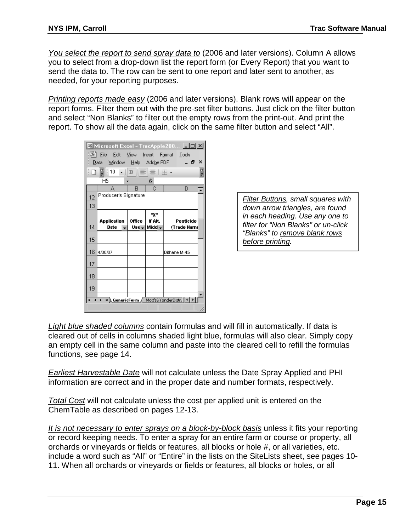*You select the report to send spray data to* (2006 and later versions). Column A allows you to select from a drop-down list the report form (or Every Report) that you want to send the data to. The row can be sent to one report and later sent to another, as needed, for your reporting purposes.

*Printing reports made easy* (2006 and later versions). Blank rows will appear on the report forms. Filter them out with the pre-set filter buttons. Just click on the filter button and select "Non Blanks" to filter out the empty rows from the print-out. And print the report. To show all the data again, click on the same filter button and select "All".

|                                                                                            |                      |               |              | Microsoft Excel - TracApple200 IIIX |  |  |  |
|--------------------------------------------------------------------------------------------|----------------------|---------------|--------------|-------------------------------------|--|--|--|
| 鬯 File Edit View Insert Format Tools<br>- 8<br>×<br>Window Help Ado <u>b</u> e PDF<br>Data |                      |               |              |                                     |  |  |  |
| H.<br>H<br>10<br>■■■■<br>$-$ B<br>÷                                                        |                      |               |              |                                     |  |  |  |
|                                                                                            | Н5                   |               | fx           |                                     |  |  |  |
|                                                                                            | А                    | R             | C            | D                                   |  |  |  |
| 12                                                                                         | Producer's Signature |               |              |                                     |  |  |  |
| 13                                                                                         |                      |               |              |                                     |  |  |  |
|                                                                                            |                      |               | "X"          |                                     |  |  |  |
|                                                                                            | <b>Application</b>   | <b>Office</b> | if Alt.      | Pesticide                           |  |  |  |
| 14                                                                                         | <b>Date</b>          |               | Us∈ – Midd – | (Trade Nami                         |  |  |  |
| 15                                                                                         |                      |               |              |                                     |  |  |  |
| 16                                                                                         | 4/30/07              |               |              | Dithane M-45                        |  |  |  |
| 17                                                                                         |                      |               |              |                                     |  |  |  |
| 18                                                                                         |                      |               |              |                                     |  |  |  |
| 19                                                                                         |                      |               |              |                                     |  |  |  |
| H GenericForm / Mott's&YonderDistr. 1   1<br>н<br>$\overline{\phantom{a}}$                 |                      |               |              |                                     |  |  |  |
|                                                                                            |                      |               |              |                                     |  |  |  |

*Filter Buttons, small squares with down arrow triangles, are found in each heading. Use any one to filter for "Non Blanks" or un-click "Blanks" to remove blank rows before printing.*

*Light blue shaded columns* contain formulas and will fill in automatically. If data is cleared out of cells in columns shaded light blue, formulas will also clear. Simply copy an empty cell in the same column and paste into the cleared cell to refill the formulas functions, see page 14.

*Earliest Harvestable Date* will not calculate unless the Date Spray Applied and PHI information are correct and in the proper date and number formats, respectively.

*Total Cost* will not calculate unless the cost per applied unit is entered on the ChemTable as described on pages 12-13.

*It is not necessary to enter sprays on a block-by-block basis* unless it fits your reporting or record keeping needs. To enter a spray for an entire farm or course or property, all orchards or vineyards or fields or features, all blocks or hole #, or all varieties, etc. include a word such as "All" or "Entire" in the lists on the SiteLists sheet, see pages 10- 11. When all orchards or vineyards or fields or features, all blocks or holes, or all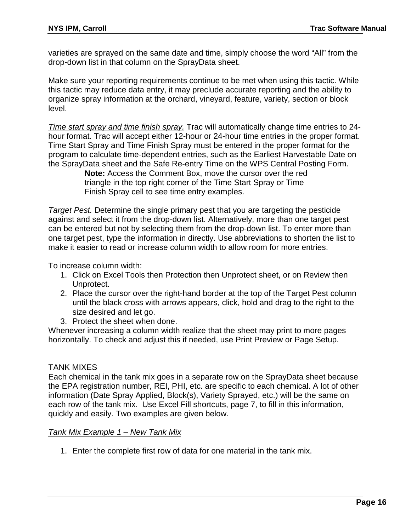varieties are sprayed on the same date and time, simply choose the word "All" from the drop-down list in that column on the SprayData sheet.

Make sure your reporting requirements continue to be met when using this tactic. While this tactic may reduce data entry, it may preclude accurate reporting and the ability to organize spray information at the orchard, vineyard, feature, variety, section or block level.

*Time start spray and time finish spray.* Trac will automatically change time entries to 24 hour format. Trac will accept either 12-hour or 24-hour time entries in the proper format. Time Start Spray and Time Finish Spray must be entered in the proper format for the program to calculate time-dependent entries, such as the Earliest Harvestable Date on the SprayData sheet and the Safe Re-entry Time on the WPS Central Posting Form.

> **Note:** Access the Comment Box, move the cursor over the red triangle in the top right corner of the Time Start Spray or Time Finish Spray cell to see time entry examples.

*Target Pest.* Determine the single primary pest that you are targeting the pesticide against and select it from the drop-down list. Alternatively, more than one target pest can be entered but not by selecting them from the drop-down list. To enter more than one target pest, type the information in directly. Use abbreviations to shorten the list to make it easier to read or increase column width to allow room for more entries.

To increase column width:

- 1. Click on Excel Tools then Protection then Unprotect sheet, or on Review then Unprotect.
- 2. Place the cursor over the right-hand border at the top of the Target Pest column until the black cross with arrows appears, click, hold and drag to the right to the size desired and let go.
- 3. Protect the sheet when done.

Whenever increasing a column width realize that the sheet may print to more pages horizontally. To check and adjust this if needed, use Print Preview or Page Setup.

### TANK MIXES

Each chemical in the tank mix goes in a separate row on the SprayData sheet because the EPA registration number, REI, PHI, etc. are specific to each chemical. A lot of other information (Date Spray Applied, Block(s), Variety Sprayed, etc.) will be the same on each row of the tank mix. Use Excel Fill shortcuts, page 7, to fill in this information, quickly and easily. Two examples are given below.

#### *Tank Mix Example 1 – New Tank Mix*

1. Enter the complete first row of data for one material in the tank mix.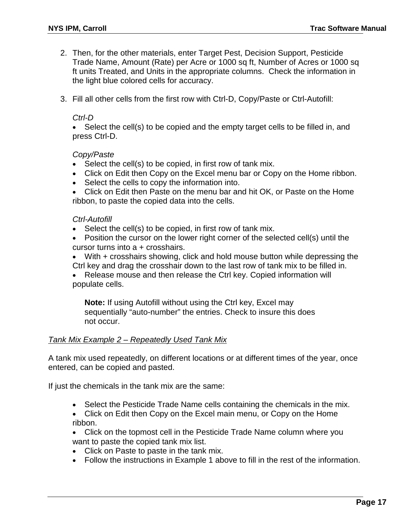- 2. Then, for the other materials, enter Target Pest, Decision Support, Pesticide Trade Name, Amount (Rate) per Acre or 1000 sq ft, Number of Acres or 1000 sq ft units Treated, and Units in the appropriate columns. Check the information in the light blue colored cells for accuracy.
- 3. Fill all other cells from the first row with Ctrl-D, Copy/Paste or Ctrl-Autofill:

#### *Ctrl-D*

• Select the cell(s) to be copied and the empty target cells to be filled in, and press Ctrl-D.

#### *Copy/Paste*

- Select the cell(s) to be copied, in first row of tank mix.
- Click on Edit then Copy on the Excel menu bar or Copy on the Home ribbon.
- Select the cells to copy the information into.
- Click on Edit then Paste on the menu bar and hit OK, or Paste on the Home ribbon, to paste the copied data into the cells.

#### *Ctrl-Autofill*

- Select the cell(s) to be copied, in first row of tank mix.
- Position the cursor on the lower right corner of the selected cell(s) until the cursor turns into a + crosshairs.
- With + crosshairs showing, click and hold mouse button while depressing the Ctrl key and drag the crosshair down to the last row of tank mix to be filled in.
- Release mouse and then release the Ctrl key. Copied information will populate cells.

**Note:** If using Autofill without using the Ctrl key, Excel may sequentially "auto-number" the entries. Check to insure this does not occur.

#### *Tank Mix Example 2 – Repeatedly Used Tank Mix*

A tank mix used repeatedly, on different locations or at different times of the year, once entered, can be copied and pasted.

If just the chemicals in the tank mix are the same:

- Select the Pesticide Trade Name cells containing the chemicals in the mix.
- Click on Edit then Copy on the Excel main menu, or Copy on the Home ribbon.
- Click on the topmost cell in the Pesticide Trade Name column where you want to paste the copied tank mix list.
- Click on Paste to paste in the tank mix.
- Follow the instructions in Example 1 above to fill in the rest of the information.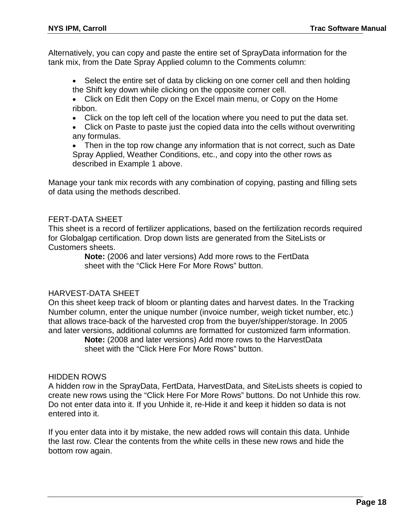Alternatively, you can copy and paste the entire set of SprayData information for the tank mix, from the Date Spray Applied column to the Comments column:

- Select the entire set of data by clicking on one corner cell and then holding the Shift key down while clicking on the opposite corner cell.
- Click on Edit then Copy on the Excel main menu, or Copy on the Home ribbon.
- Click on the top left cell of the location where you need to put the data set.
- Click on Paste to paste just the copied data into the cells without overwriting any formulas.
- Then in the top row change any information that is not correct, such as Date Spray Applied, Weather Conditions, etc., and copy into the other rows as described in Example 1 above.

Manage your tank mix records with any combination of copying, pasting and filling sets of data using the methods described.

#### FERT-DATA SHEET

This sheet is a record of fertilizer applications, based on the fertilization records required for Globalgap certification. Drop down lists are generated from the SiteLists or Customers sheets.

> **Note:** (2006 and later versions) Add more rows to the FertData sheet with the "Click Here For More Rows" button.

### HARVEST-DATA SHEET

On this sheet keep track of bloom or planting dates and harvest dates. In the Tracking Number column, enter the unique number (invoice number, weigh ticket number, etc.) that allows trace-back of the harvested crop from the buyer/shipper/storage. In 2005 and later versions, additional columns are formatted for customized farm information.

> **Note:** (2008 and later versions) Add more rows to the HarvestData sheet with the "Click Here For More Rows" button.

#### HIDDEN ROWS

A hidden row in the SprayData, FertData, HarvestData, and SiteLists sheets is copied to create new rows using the "Click Here For More Rows" buttons. Do not Unhide this row. Do not enter data into it. If you Unhide it, re-Hide it and keep it hidden so data is not entered into it.

If you enter data into it by mistake, the new added rows will contain this data. Unhide the last row. Clear the contents from the white cells in these new rows and hide the bottom row again.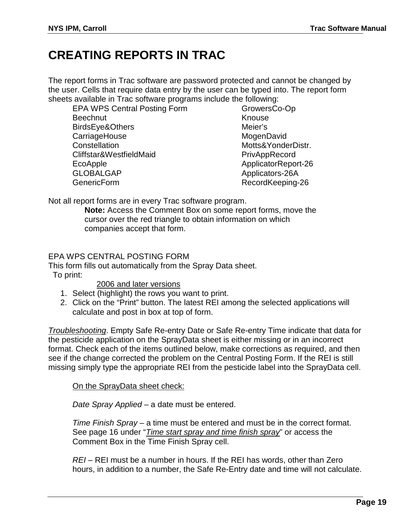### **CREATING REPORTS IN TRAC**

The report forms in Trac software are password protected and cannot be changed by the user. Cells that require data entry by the user can be typed into. The report form sheets available in Trac software programs include the following:

EPA WPS Central Posting Form **Beechnut** BirdsEye&Others **CarriageHouse Constellation** Cliffstar&WestfieldMaid EcoApple GLOBALGAP **GenericForm** 

GrowersCo-Op Knouse Meier's **MogenDavid** Motts&YonderDistr. PrivAppRecord ApplicatorReport-26 Applicators-26A RecordKeeping-26

Not all report forms are in every Trac software program.

**Note:** Access the Comment Box on some report forms, move the cursor over the red triangle to obtain information on which companies accept that form.

### EPA WPS CENTRAL POSTING FORM

This form fills out automatically from the Spray Data sheet. To print:

2006 and later versions

- 1. Select (highlight) the rows you want to print.
- 2. Click on the "Print" button. The latest REI among the selected applications will calculate and post in box at top of form.

*Troubleshooting*. Empty Safe Re-entry Date or Safe Re-entry Time indicate that data for the pesticide application on the SprayData sheet is either missing or in an incorrect format. Check each of the items outlined below, make corrections as required, and then see if the change corrected the problem on the Central Posting Form. If the REI is still missing simply type the appropriate REI from the pesticide label into the SprayData cell.

On the SprayData sheet check:

*Date Spray Applied* – a date must be entered.

*Time Finish Spray* – a time must be entered and must be in the correct format. See page 16 under "*Time start spray and time finish spray*" or access the Comment Box in the Time Finish Spray cell.

*REI* – REI must be a number in hours. If the REI has words, other than Zero hours, in addition to a number, the Safe Re-Entry date and time will not calculate.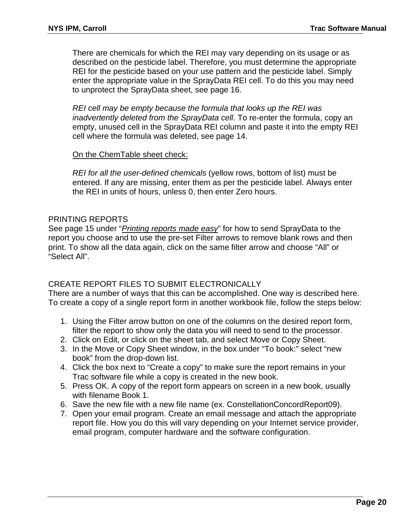There are chemicals for which the REI may vary depending on its usage or as described on the pesticide label. Therefore, you must determine the appropriate REI for the pesticide based on your use pattern and the pesticide label. Simply enter the appropriate value in the SprayData REI cell. To do this you may need to unprotect the SprayData sheet, see page 16.

*REI cell may be empty because the formula that looks up the REI was inadvertently deleted from the SprayData cell*. To re-enter the formula, copy an empty, unused cell in the SprayData REI column and paste it into the empty REI cell where the formula was deleted, see page 14.

### On the ChemTable sheet check:

*REI for all the user-defined chemicals* (yellow rows, bottom of list) must be entered. If any are missing, enter them as per the pesticide label. Always enter the REI in units of hours, unless 0, then enter Zero hours.

### PRINTING REPORTS

See page 15 under "*Printing reports made easy*" for how to send SprayData to the report you choose and to use the pre-set Filter arrows to remove blank rows and then print. To show all the data again, click on the same filter arrow and choose "All" or "Select All".

### CREATE REPORT FILES TO SUBMIT ELECTRONICALLY

There are a number of ways that this can be accomplished. One way is described here. To create a copy of a single report form in another workbook file, follow the steps below:

- 1. Using the Filter arrow button on one of the columns on the desired report form, filter the report to show only the data you will need to send to the processor.
- 2. Click on Edit, or click on the sheet tab, and select Move or Copy Sheet.
- 3. In the Move or Copy Sheet window, in the box under "To book:" select "new book" from the drop-down list.
- 4. Click the box next to "Create a copy" to make sure the report remains in your Trac software file while a copy is created in the new book.
- 5. Press OK. A copy of the report form appears on screen in a new book, usually with filename Book 1.
- 6. Save the new file with a new file name (ex. ConstellationConcordReport09).
- 7. Open your email program. Create an email message and attach the appropriate report file. How you do this will vary depending on your Internet service provider, email program, computer hardware and the software configuration.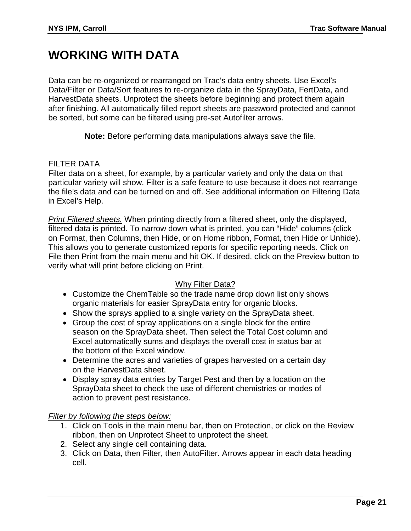### **WORKING WITH DATA**

Data can be re-organized or rearranged on Trac's data entry sheets. Use Excel's Data/Filter or Data/Sort features to re-organize data in the SprayData, FertData, and HarvestData sheets. Unprotect the sheets before beginning and protect them again after finishing. All automatically filled report sheets are password protected and cannot be sorted, but some can be filtered using pre-set Autofilter arrows.

**Note:** Before performing data manipulations always save the file.

#### FILTER DATA

Filter data on a sheet, for example, by a particular variety and only the data on that particular variety will show. Filter is a safe feature to use because it does not rearrange the file's data and can be turned on and off. See additional information on Filtering Data in Excel's Help.

*Print Filtered sheets.* When printing directly from a filtered sheet, only the displayed, filtered data is printed. To narrow down what is printed, you can "Hide" columns (click on Format, then Columns, then Hide, or on Home ribbon, Format, then Hide or Unhide). This allows you to generate customized reports for specific reporting needs. Click on File then Print from the main menu and hit OK. If desired, click on the Preview button to verify what will print before clicking on Print.

### Why Filter Data?

- Customize the ChemTable so the trade name drop down list only shows organic materials for easier SprayData entry for organic blocks.
- Show the sprays applied to a single variety on the SprayData sheet.
- Group the cost of spray applications on a single block for the entire season on the SprayData sheet. Then select the Total Cost column and Excel automatically sums and displays the overall cost in status bar at the bottom of the Excel window.
- Determine the acres and varieties of grapes harvested on a certain day on the HarvestData sheet.
- Display spray data entries by Target Pest and then by a location on the SprayData sheet to check the use of different chemistries or modes of action to prevent pest resistance.

*Filter by following the steps below:*

- 1. Click on Tools in the main menu bar, then on Protection, or click on the Review ribbon, then on Unprotect Sheet to unprotect the sheet.
- 2. Select any single cell containing data.
- 3. Click on Data, then Filter, then AutoFilter. Arrows appear in each data heading cell.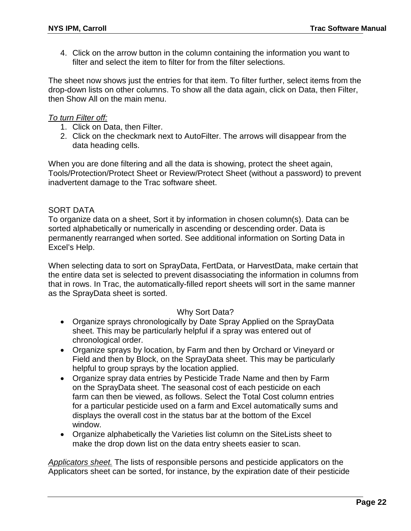4. Click on the arrow button in the column containing the information you want to filter and select the item to filter for from the filter selections.

The sheet now shows just the entries for that item. To filter further, select items from the drop-down lists on other columns. To show all the data again, click on Data, then Filter, then Show All on the main menu.

#### *To turn Filter off:*

- 1. Click on Data, then Filter.
- 2. Click on the checkmark next to AutoFilter. The arrows will disappear from the data heading cells.

When you are done filtering and all the data is showing, protect the sheet again, Tools/Protection/Protect Sheet or Review/Protect Sheet (without a password) to prevent inadvertent damage to the Trac software sheet.

### SORT DATA

To organize data on a sheet, Sort it by information in chosen column(s). Data can be sorted alphabetically or numerically in ascending or descending order. Data is permanently rearranged when sorted. See additional information on Sorting Data in Excel's Help.

When selecting data to sort on SprayData, FertData, or HarvestData, make certain that the entire data set is selected to prevent disassociating the information in columns from that in rows. In Trac, the automatically-filled report sheets will sort in the same manner as the SprayData sheet is sorted.

### Why Sort Data?

- Organize sprays chronologically by Date Spray Applied on the SprayData sheet. This may be particularly helpful if a spray was entered out of chronological order.
- Organize sprays by location, by Farm and then by Orchard or Vineyard or Field and then by Block, on the SprayData sheet. This may be particularly helpful to group sprays by the location applied.
- Organize spray data entries by Pesticide Trade Name and then by Farm on the SprayData sheet. The seasonal cost of each pesticide on each farm can then be viewed, as follows. Select the Total Cost column entries for a particular pesticide used on a farm and Excel automatically sums and displays the overall cost in the status bar at the bottom of the Excel window.
- Organize alphabetically the Varieties list column on the SiteLists sheet to make the drop down list on the data entry sheets easier to scan.

*Applicators sheet.* The lists of responsible persons and pesticide applicators on the Applicators sheet can be sorted, for instance, by the expiration date of their pesticide